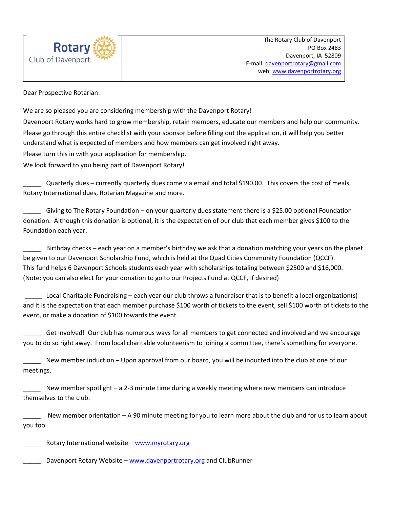

Dear Prospective Rotarian:

We are so pleased you are considering membership with the Davenport Rotary! Davenport Rotary works hard to grow membership, retain members, educate our members and help our community. Please go through this entire checklist with your sponsor before filling out the application, it will help you better understand what is expected of members and how members can get involved right away. Please turn this in with your application for membership.

We look forward to you being part of Davenport Rotary!

\_\_\_\_\_ Quarterly dues – currently quarterly dues come via email and total \$190.00. This covers the cost of meals, Rotary International dues, Rotarian Magazine and more.

\_\_\_\_\_ Giving to The Rotary Foundation – on your quarterly dues statement there is a \$25.00 optional Foundation donation. Although this donation is optional, it is the expectation of our club that each member gives \$100 to the Foundation each year.

Birthday checks – each year on a member's birthday we ask that a donation matching your years on the planet be given to our Davenport Scholarship Fund, which is held at the Quad Cities Community Foundation (QCCF). This fund helps 6 Davenport Schools students each year with scholarships totaling between \$2500 and \$16,000. (Note: you can also elect for your donation to go to our Projects Fund at QCCF, if desired)

\_\_\_\_\_ Local Charitable Fundraising – each year our club throws a fundraiser that is to benefit a local organization(s) and it is the expectation that each member purchase \$100 worth of tickets to the event, sell \$100 worth of tickets to the event, or make a donation of \$100 towards the event.

\_\_\_\_\_ Get involved! Our club has numerous ways for all members to get connected and involved and we encourage you to do so right away. From local charitable volunteerism to joining a committee, there's something for everyone.

New member induction – Upon approval from our board, you will be inducted into the club at one of our meetings.

New member spotlight – a 2-3 minute time during a weekly meeting where new members can introduce themselves to the club.

New member orientation – A 90 minute meeting for you to learn more about the club and for us to learn about you too.

Rotary International website – [www.myrotary.org](http://www.myrotary.org/)

Davenport Rotary Website – [www.davenportrotary.org](http://www.davenportrotary.org/) and ClubRunner